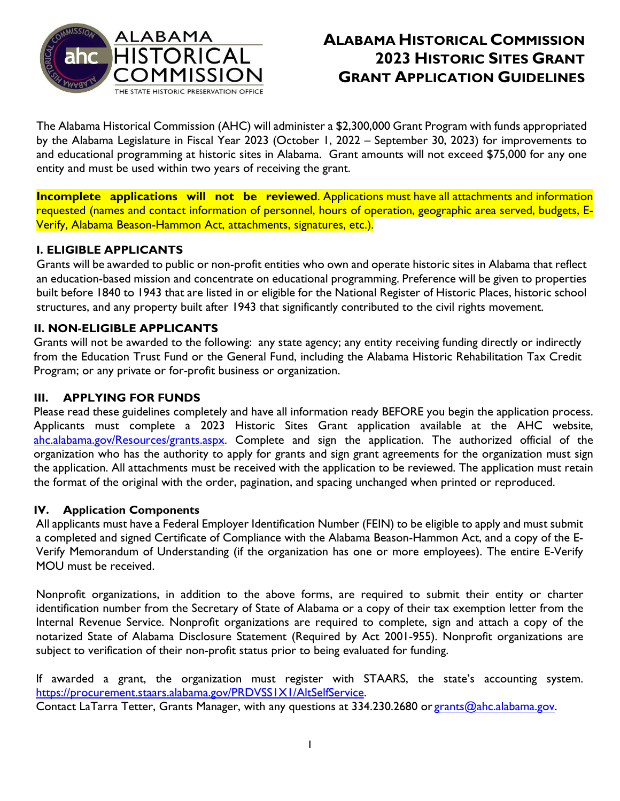

# **ALABAMA HISTORICAL COMMISSION 2023 HISTORIC SITES GRANT GRANT APPLICATION GUIDELINES**

The Alabama Historical Commission (AHC) will administer a \$2,300,000 Grant Program with funds appropriated by the Alabama Legislature in Fiscal Year 2023 (October 1, 2022 – September 30, 2023) for improvements to and educational programming at historic sites in Alabama. Grant amounts will not exceed \$75,000 for any one entity and must be used within two years of receiving the grant.

**Incomplete applications will not be reviewed**. Applications must have all attachments and information requested (names and contact information of personnel, hours of operation, geographic area served, budgets, E-Verify, Alabama Beason-Hammon Act, attachments, signatures, etc.).

## **I. ELIGIBLE APPLICANTS**

Grants will be awarded to public or non-profit entities who own and operate historic sites in Alabama that reflect an education-based mission and concentrate on educational programming. Preference will be given to properties built before 1840 to 1943 that are listed in or eligible for the National Register of Historic Places, historic school structures, and any property built after 1943 that significantly contributed to the civil rights movement.

### **II. NON-ELIGIBLE APPLICANTS**

Grants will not be awarded to the following: any state agency; any entity receiving funding directly or indirectly from the Education Trust Fund or the General Fund, including the Alabama Historic Rehabilitation Tax Credit Program; or any private or for-profit business or organization.

#### **III. APPLYING FOR FUNDS**

Please read these guidelines completely and have all information ready BEFORE you begin the application process. Applicants must complete a 2023 Historic Sites Grant application available at the AHC website, [ahc.alabama.gov/Resources/grants.aspx.](https://ahc.alabama.gov/Resources/grants21.aspx) Complete and sign the application. The authorized official of the organization who has the authority to apply for grants and sign grant agreements for the organization must sign the application. All attachments must be received with the application to be reviewed. The application must retain the format of the original with the order, pagination, and spacing unchanged when printed or reproduced.

### **IV. Application Components**

All applicants must have a Federal Employer Identification Number (FEIN) to be eligible to apply and must submit a completed and signed Certificate of Compliance with the Alabama Beason-Hammon Act, and a copy of the E-Verify Memorandum of Understanding (if the organization has one or more employees). The entire E-Verify MOU must be received.

Nonprofit organizations, in addition to the above forms, are required to submit their entity or charter identification number from the Secretary of State of Alabama or a copy of their tax exemption letter from the Internal Revenue Service. Nonprofit organizations are required to complete, sign and attach a copy of the notarized State of Alabama Disclosure Statement (Required by Act 2001-955). Nonprofit organizations are subject to verification of their non-profit status prior to being evaluated for funding.

If awarded a grant, the organization must register with STAARS, the state's accounting system. https://procurement.staars.alabama.gov/PRDVSSIXI/AltSelfService. Contact LaTarra Tetter, Grants Manager, with any questions at 334.230.2680 or [grants@ahc.alabama.gov.](mailto:grants@ahc.alabama.gov)

1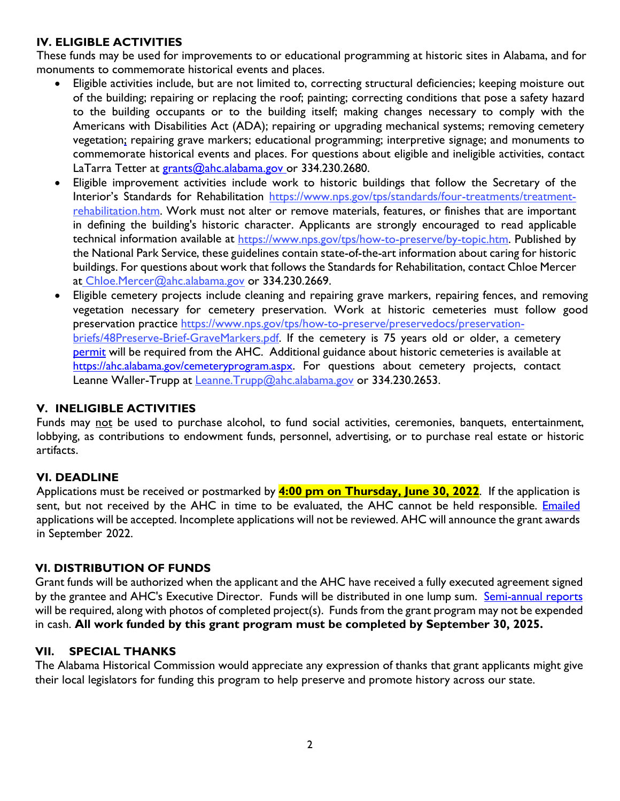## **IV. ELIGIBLE ACTIVITIES**

These funds may be used for improvements to or educational programming at historic sites in Alabama, and for monuments to commemorate historical events and places.

- Eligible activities include, but are not limited to, correcting structural deficiencies; keeping moisture out of the building; repairing or replacing the roof; painting; correcting conditions that pose a safety hazard to the building occupants or to the building itself; making changes necessary to comply with the Americans with Disabilities Act (ADA); repairing or upgrading mechanical systems; removing cemetery vegetation; repairing grave markers; educational programming; interpretive signage; and monuments to commemorate historical events and places. For questions about eligible and ineligible activities, contact LaTarra Tetter at [grants@ahc.alabama.gov](mailto:grants@ahc.alabama.gov) or 334.230.2680.
- Eligible improvement activities include work to historic buildings that follow the Secretary of the Interior's Standards for Rehabilitation [https://www.nps.gov/tps/standards/four-treatments/treatment](https://www.nps.gov/tps/standards/four-treatments/treatment-rehabilitation.htm)[rehabilitation.htm. Work must not alter or remove materials, features, or finishes that are i](https://www.nps.gov/tps/standards/four-treatments/treatment-rehabilitation.htm)mportant in defining the building's historic character. Applicants are strongly encouraged to read applicable technical information available at [https://www.nps.gov/tps/how-to-preserve/by-topic.htm.](https://www.nps.gov/tps/how-to-preserve/by-topic.htm) Published by the National Park Service, these guidelines contain state-of-the-art information about caring for historic buildings. For questions about work that follows the Standards for Rehabilitation, contact Chloe Mercer at [Chloe.Mercer@ahc.alabama.gov](mailto:%20Chloe.Mercer@ahc.alabama.gov) or 334.230.2669.
- Eligible cemetery projects include cleaning and repairing grave markers, repairing fences, and removing [vegetation necessary for cemetery preservation. Work at historic cemeteries must f](https://www.nps.gov/tps/how-to-preserve/briefs/48-preserving-grave-markers.htm)ollow good preservation practice [https://www.nps.gov/tps/how-to-preserve/preservedocs/preservation](https://www.nps.gov/tps/how-to-preserve/preservedocs/preservation-briefs/48Preserve-Brief-GraveMarkers.pdf)briefs/48Preserve-Brief-GraveMarkers.pdf. If the cemetery is 75 years old or older, a cemetery [permit](https://ahc.alabama.gov/cemeteryprogramPDFs/2021_Cemetery_Permit_Application_Non-Relocation_fillable.pdf) will be required from the AHC. Additional guidance about historic cemeteries is available at [https://ahc.alabama.gov/cemeteryprogram.aspx.](https://ahc.alabama.gov/cemeteryprogram.aspx) For questions about cemetery projects, contact Leanne Waller-Trupp at Leanne. Trupp@ahc.alabama.gov or 334.230.2653.

### **V. INELIGIBLE ACTIVITIES**

Funds may not be used to purchase alcohol, to fund social activities, ceremonies, banquets, entertainment, lobbying, as contributions to endowment funds, personnel, advertising, or to purchase real estate or historic artifacts.

### **VI. DEADLINE**

Applications must be received or postmarked by **4:00 pm on Thursday, June 30, 2022**. If the application is sent, but not received by the AHC in time to be evaluated, the AHC cannot be held responsible. *Emailed* applications will be accepted. Incomplete applications will not be reviewed. AHC will announce the grant awards in September 2022.

### **VI. DISTRIBUTION OF FUNDS**

Grant funds will be authorized when the applicant and the AHC have received a fully executed agreement signed by the grantee and AHC's Executive Director. Funds will be distributed in one lump sum. [Semi-annual reports](https://ahc.alabama.gov/grantsPDFs/2023_Semi-Annual_Grant_Report.pdf) will be required, along with photos of completed project(s). Funds from the grant program may not be expended in cash. **All work funded by this grant program must be completed by September 30, 2025.**

## **VII. SPECIAL THANKS**

The Alabama Historical Commission would appreciate any expression of thanks that grant applicants might give their local legislators for funding this program to help preserve and promote history across our state.